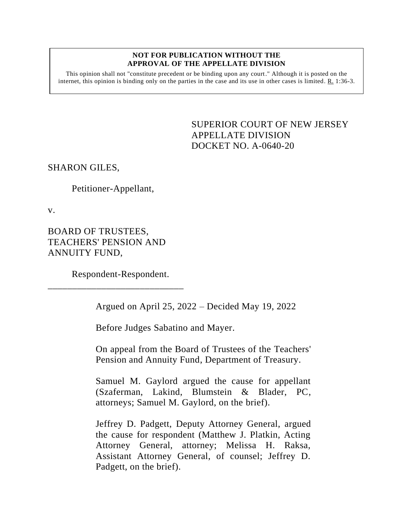## **NOT FOR PUBLICATION WITHOUT THE APPROVAL OF THE APPELLATE DIVISION**

This opinion shall not "constitute precedent or be binding upon any court." Although it is posted on the internet, this opinion is binding only on the parties in the case and its use in other cases is limited.  $R_1$  1:36-3.

> <span id="page-0-0"></span>SUPERIOR COURT OF NEW JERSEY APPELLATE DIVISION DOCKET NO. A-0640-20

SHARON GILES,

Petitioner-Appellant,

v.

BOARD OF TRUSTEES, TEACHERS' PENSION AND ANNUITY FUND,

Respondent-Respondent.

\_\_\_\_\_\_\_\_\_\_\_\_\_\_\_\_\_\_\_\_\_\_\_\_\_\_\_\_

Argued on April 25, 2022 – Decided May 19, 2022

Before Judges Sabatino and Mayer.

On appeal from the Board of Trustees of the Teachers' Pension and Annuity Fund, Department of Treasury.

Samuel M. Gaylord argued the cause for appellant (Szaferman, Lakind, Blumstein & Blader, PC, attorneys; Samuel M. Gaylord, on the brief).

Jeffrey D. Padgett, Deputy Attorney General, argued the cause for respondent (Matthew J. Platkin, Acting Attorney General, attorney; Melissa H. Raksa, Assistant Attorney General, of counsel; Jeffrey D. Padgett, on the brief).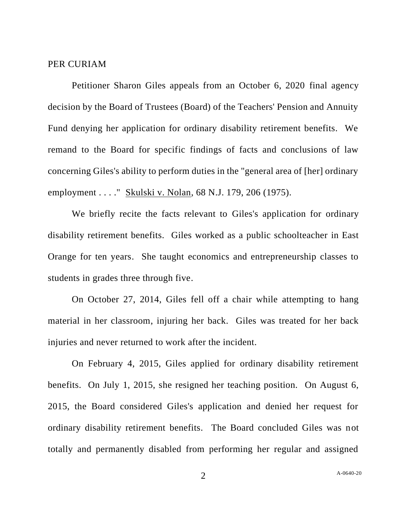## PER CURIAM

Petitioner Sharon Giles appeals from an October 6, 2020 final agency decision by the Board of Trustees (Board) of the Teachers' Pension and Annuity Fund denying her application for ordinary disability retirement benefits. We remand to the Board for specific findings of facts and conclusions of law concerning Giles's ability to perform duties in the "general area of [her] ordinary employment . . . . " Skulski v. Nolan, 68 N.J. 179, 206 (1975).

We briefly recite the facts relevant to Giles's application for ordinary disability retirement benefits. Giles worked as a public schoolteacher in East Orange for ten years. She taught economics and entrepreneurship classes to students in grades three through five.

On October 27, 2014, Giles fell off a chair while attempting to hang material in her classroom, injuring her back. Giles was treated for her back injuries and never returned to work after the incident.

On February 4, 2015, Giles applied for ordinary disability retirement benefits. On July 1, 2015, she resigned her teaching position. On August 6, 2015, the Board considered Giles's application and denied her request for ordinary disability retirement benefits. The Board concluded Giles was not totally and permanently disabled from performing her regular and assigned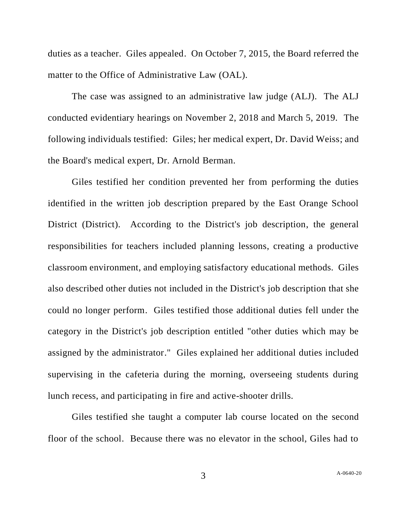duties as a teacher. Giles appealed. On October 7, 2015, the Board referred the matter to the Office of Administrative Law (OAL).

The case was assigned to an administrative law judge (ALJ). The ALJ conducted evidentiary hearings on November 2, 2018 and March 5, 2019. The following individuals testified: Giles; her medical expert, Dr. David Weiss; and the Board's medical expert, Dr. Arnold Berman.

Giles testified her condition prevented her from performing the duties identified in the written job description prepared by the East Orange School District (District). According to the District's job description, the general responsibilities for teachers included planning lessons, creating a productive classroom environment, and employing satisfactory educational methods. Giles also described other duties not included in the District's job description that she could no longer perform. Giles testified those additional duties fell under the category in the District's job description entitled "other duties which may be assigned by the administrator." Giles explained her additional duties included supervising in the cafeteria during the morning, overseeing students during lunch recess, and participating in fire and active-shooter drills.

Giles testified she taught a computer lab course located on the second floor of the school. Because there was no elevator in the school, Giles had to

3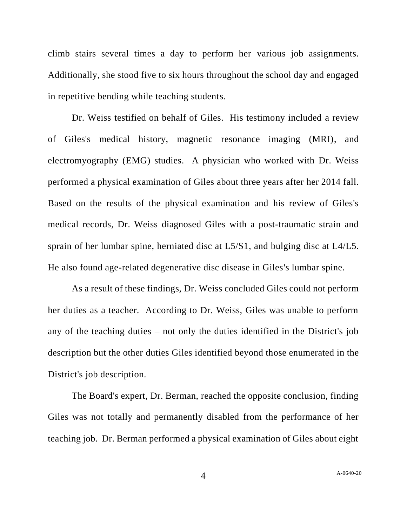climb stairs several times a day to perform her various job assignments. Additionally, she stood five to six hours throughout the school day and engaged in repetitive bending while teaching students.

Dr. Weiss testified on behalf of Giles. His testimony included a review of Giles's medical history, magnetic resonance imaging (MRI), and electromyography (EMG) studies. A physician who worked with Dr. Weiss performed a physical examination of Giles about three years after her 2014 fall. Based on the results of the physical examination and his review of Giles's medical records, Dr. Weiss diagnosed Giles with a post-traumatic strain and sprain of her lumbar spine, herniated disc at L5/S1, and bulging disc at L4/L5. He also found age-related degenerative disc disease in Giles's lumbar spine.

As a result of these findings, Dr. Weiss concluded Giles could not perform her duties as a teacher. According to Dr. Weiss, Giles was unable to perform any of the teaching duties – not only the duties identified in the District's job description but the other duties Giles identified beyond those enumerated in the District's job description.

The Board's expert, Dr. Berman, reached the opposite conclusion, finding Giles was not totally and permanently disabled from the performance of her teaching job. Dr. Berman performed a physical examination of Giles about eight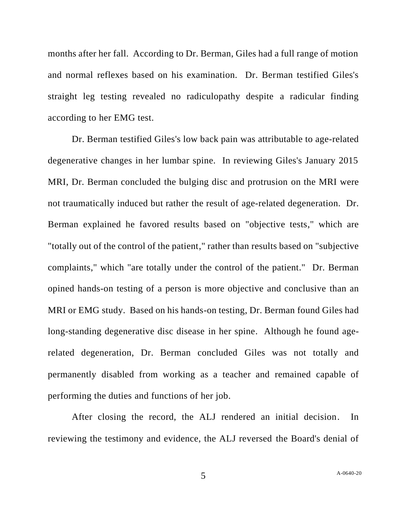months after her fall. According to Dr. Berman, Giles had a full range of motion and normal reflexes based on his examination. Dr. Berman testified Giles's straight leg testing revealed no radiculopathy despite a radicular finding according to her EMG test.

Dr. Berman testified Giles's low back pain was attributable to age-related degenerative changes in her lumbar spine. In reviewing Giles's January 2015 MRI, Dr. Berman concluded the bulging disc and protrusion on the MRI were not traumatically induced but rather the result of age-related degeneration. Dr. Berman explained he favored results based on "objective tests," which are "totally out of the control of the patient," rather than results based on "subjective complaints," which "are totally under the control of the patient." Dr. Berman opined hands-on testing of a person is more objective and conclusive than an MRI or EMG study. Based on his hands-on testing, Dr. Berman found Giles had long-standing degenerative disc disease in her spine. Although he found agerelated degeneration, Dr. Berman concluded Giles was not totally and permanently disabled from working as a teacher and remained capable of performing the duties and functions of her job.

After closing the record, the ALJ rendered an initial decision. In reviewing the testimony and evidence, the ALJ reversed the Board's denial of

5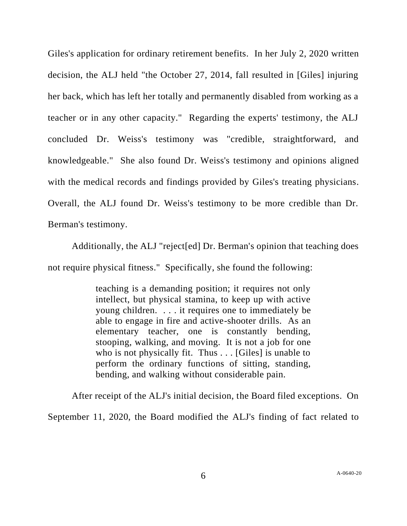Giles's application for ordinary retirement benefits. In her July 2, 2020 written decision, the ALJ held "the October 27, 2014, fall resulted in [Giles] injuring her back, which has left her totally and permanently disabled from working as a teacher or in any other capacity." Regarding the experts' testimony, the ALJ concluded Dr. Weiss's testimony was "credible, straightforward, and knowledgeable." She also found Dr. Weiss's testimony and opinions aligned with the medical records and findings provided by Giles's treating physicians. Overall, the ALJ found Dr. Weiss's testimony to be more credible than Dr. Berman's testimony.

Additionally, the ALJ "reject[ed] Dr. Berman's opinion that teaching does not require physical fitness." Specifically, she found the following:

> teaching is a demanding position; it requires not only intellect, but physical stamina, to keep up with active young children. . . . it requires one to immediately be able to engage in fire and active-shooter drills. As an elementary teacher, one is constantly bending, stooping, walking, and moving. It is not a job for one who is not physically fit. Thus . . . [Giles] is unable to perform the ordinary functions of sitting, standing, bending, and walking without considerable pain.

After receipt of the ALJ's initial decision, the Board filed exceptions. On September 11, 2020, the Board modified the ALJ's finding of fact related to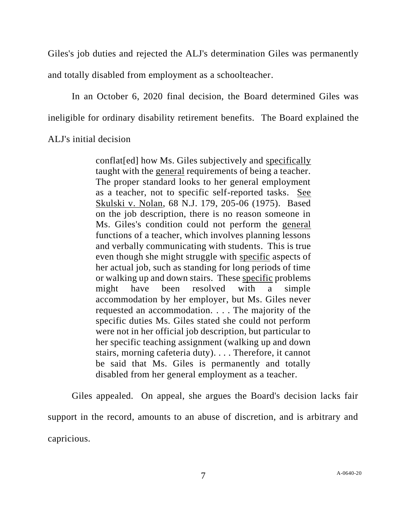Giles's job duties and rejected the ALJ's determination Giles was permanently

and totally disabled from employment as a schoolteacher.

In an October 6, 2020 final decision, the Board determined Giles was ineligible for ordinary disability retirement benefits. The Board explained the

ALJ's initial decision

conflat[ed] how Ms. Giles subjectively and specifically taught with the general requirements of being a teacher. The proper standard looks to her general employment as a teacher, not to specific self-reported tasks. See Skulski v. Nolan, 68 N.J. 179, 205-06 (1975). Based on the job description, there is no reason someone in Ms. Giles's condition could not perform the general functions of a teacher, which involves planning lessons and verbally communicating with students. This is true even though she might struggle with specific aspects of her actual job, such as standing for long periods of time or walking up and down stairs. These specific problems might have been resolved with a simple accommodation by her employer, but Ms. Giles never requested an accommodation. . . . The majority of the specific duties Ms. Giles stated she could not perform were not in her official job description, but particular to her specific teaching assignment (walking up and down stairs, morning cafeteria duty). . . . Therefore, it cannot be said that Ms. Giles is permanently and totally disabled from her general employment as a teacher.

Giles appealed. On appeal, she argues the Board's decision lacks fair support in the record, amounts to an abuse of discretion, and is arbitrary and capricious.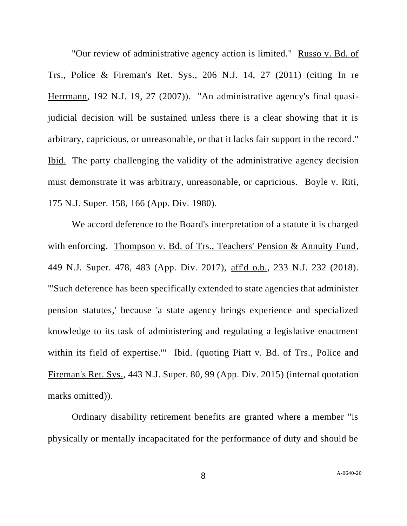"Our review of administrative agency action is limited." Russo v. Bd. of Trs., Police & Fireman's Ret. Sys., 206 N.J. 14, 27 (2011) (citing In re Herrmann, 192 N.J. 19, 27 (2007)). "An administrative agency's final quasijudicial decision will be sustained unless there is a clear showing that it is arbitrary, capricious, or unreasonable, or that it lacks fair support in the record." Ibid. The party challenging the validity of the administrative agency decision must demonstrate it was arbitrary, unreasonable, or capricious. Boyle v. Riti, 175 N.J. Super. 158, 166 (App. Div. 1980).

We accord deference to the Board's interpretation of a statute it is charged with enforcing. Thompson v. Bd. of Trs., Teachers' Pension & Annuity Fund, 449 N.J. Super. 478, 483 (App. Div. 2017), aff'd o.b., 233 N.J. 232 (2018). "'Such deference has been specifically extended to state agencies that administer pension statutes,' because 'a state agency brings experience and specialized knowledge to its task of administering and regulating a legislative enactment within its field of expertise." Ibid. (quoting Piatt v. Bd. of Trs., Police and Fireman's Ret. Sys., 443 N.J. Super. 80, 99 (App. Div. 2015) (internal quotation marks omitted)).

Ordinary disability retirement benefits are granted where a member "is physically or mentally incapacitated for the performance of duty and should be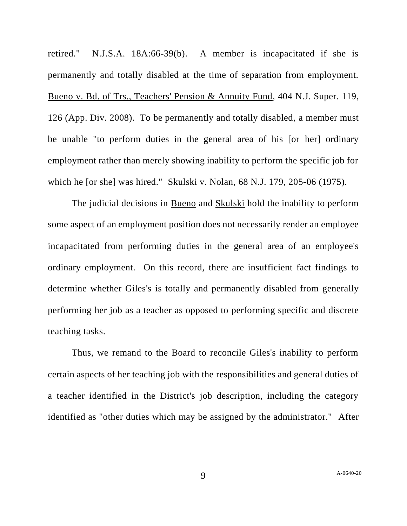retired." N.J.S.A. 18A:66-39(b). A member is incapacitated if she is permanently and totally disabled at the time of separation from employment. Bueno v. Bd. of Trs., Teachers' Pension & Annuity Fund, 404 N.J. Super. 119, 126 (App. Div. 2008). To be permanently and totally disabled, a member must be unable "to perform duties in the general area of his [or her] ordinary employment rather than merely showing inability to perform the specific job for which he [or she] was hired." Skulski v. Nolan, 68 N.J. 179, 205-06 (1975).

The judicial decisions in Bueno and Skulski hold the inability to perform some aspect of an employment position does not necessarily render an employee incapacitated from performing duties in the general area of an employee's ordinary employment. On this record, there are insufficient fact findings to determine whether Giles's is totally and permanently disabled from generally performing her job as a teacher as opposed to performing specific and discrete teaching tasks.

Thus, we remand to the Board to reconcile Giles's inability to perform certain aspects of her teaching job with the responsibilities and general duties of a teacher identified in the District's job description, including the category identified as "other duties which may be assigned by the administrator." After